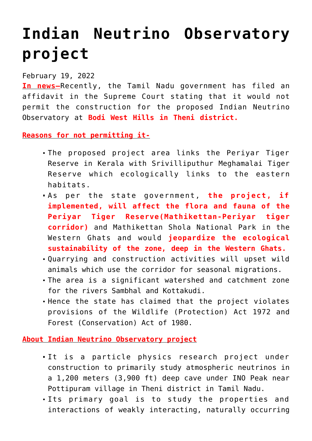## **[Indian Neutrino Observatory](https://journalsofindia.com/indian-neutrino-observatory-project/) [project](https://journalsofindia.com/indian-neutrino-observatory-project/)**

## February 19, 2022

**In news–**Recently, the Tamil Nadu government has filed an affidavit in the Supreme Court stating that it would not permit the construction for the proposed Indian Neutrino Observatory at **Bodi West Hills in Theni district.**

**Reasons for not permitting it-**

- The proposed project area links the Periyar Tiger Reserve in Kerala with Srivilliputhur Meghamalai Tiger Reserve which ecologically links to the eastern habitats.
- As per the state government, **the project, if implemented, will affect the flora and fauna of the Periyar Tiger Reserve(Mathikettan-Periyar tiger corridor)** and Mathikettan Shola National Park in the Western Ghats and would **jeopardize the ecological sustainability of the zone, deep in the Western Ghats.**
- Quarrying and construction activities will upset wild animals which use the corridor for seasonal migrations.
- The area is a significant watershed and catchment zone for the rivers Sambhal and Kottakudi.
- Hence the state has claimed that the project violates provisions of the Wildlife (Protection) Act 1972 and Forest (Conservation) Act of 1980.

**About Indian Neutrino Observatory project**

- It is a particle physics research project under construction to primarily study atmospheric neutrinos in a 1,200 meters (3,900 ft) deep cave under INO Peak near Pottipuram village in Theni district in Tamil Nadu.
- Its primary goal is to study the properties and interactions of weakly interacting, naturally occurring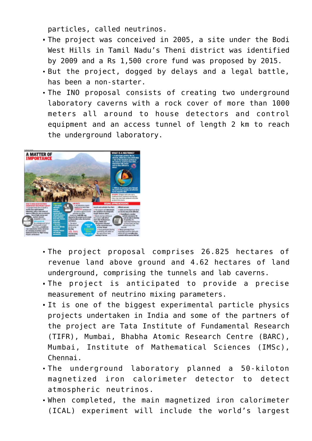particles, called neutrinos.

- The project was conceived in 2005, a site under the Bodi West Hills in Tamil Nadu's Theni district was identified by 2009 and a Rs 1,500 crore fund was proposed by 2015.
- But the project, dogged by delays and a legal battle, has been a non-starter.
- The INO proposal consists of creating two underground laboratory caverns with a rock cover of more than 1000 meters all around to house detectors and control equipment and an access tunnel of length 2 km to reach the underground laboratory.



- The project proposal comprises 26.825 hectares of revenue land above ground and 4.62 hectares of land underground, comprising the tunnels and lab caverns.
- The project is anticipated to provide a precise measurement of neutrino mixing parameters.
- It is one of the biggest experimental particle physics projects undertaken in India and some of the partners of the project are Tata Institute of Fundamental Research (TIFR), Mumbai, Bhabha Atomic Research Centre (BARC), Mumbai, Institute of Mathematical Sciences (IMSc), Chennai.
- The underground laboratory planned a 50-kiloton magnetized iron calorimeter detector to detect atmospheric neutrinos.
- When completed, the main magnetized iron calorimeter (ICAL) experiment will include the world's largest